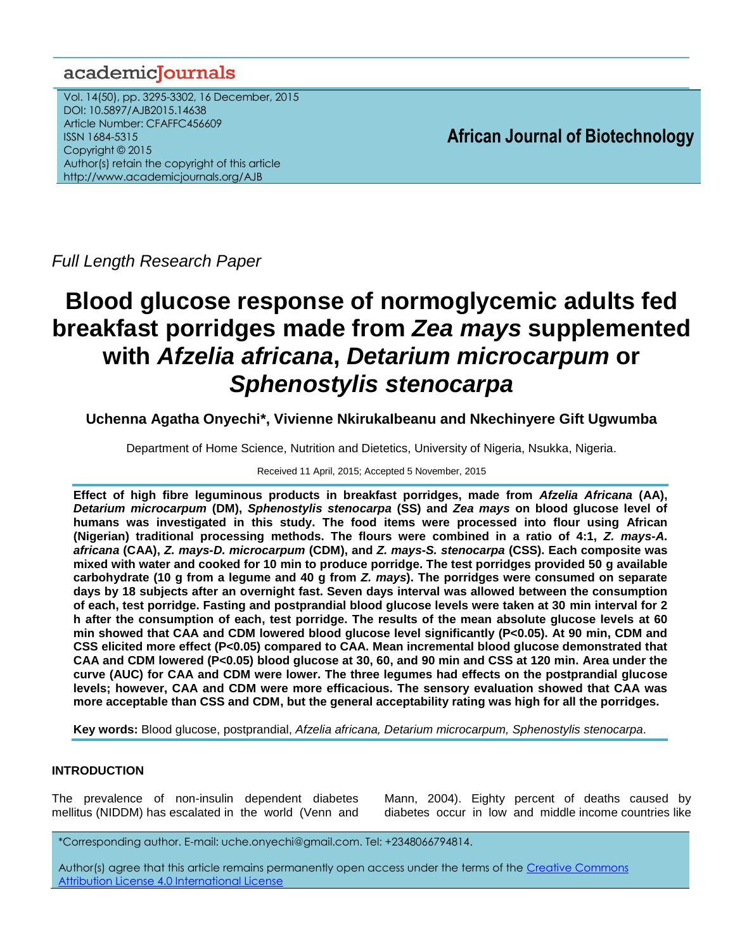## academiclournals

Vol. 14(50), pp. 3295-3302, 16 December, 2015 DOI: 10.5897/AJB2015.14638 Article Number: CFAFFC456609 ISSN 1684-5315 Copyright © 2015 Author(s) retain the copyright of this article http://www.academicjournals.org/AJB

**African Journal of Biotechnology**

*Full Length Research Paper*

# **Blood glucose response of normoglycemic adults fed breakfast porridges made from** *Zea mays* **supplemented with** *Afzelia africana***,** *Detarium microcarpum* **or** *Sphenostylis stenocarpa*

**Uchenna Agatha Onyechi\*, Vivienne NkirukaIbeanu and Nkechinyere Gift Ugwumba**

Department of Home Science, Nutrition and Dietetics, University of Nigeria, Nsukka, Nigeria.

Received 11 April, 2015; Accepted 5 November, 2015

**Effect of high fibre leguminous products in breakfast porridges, made from** *Afzelia Africana* **(AA),**  *Detarium microcarpum* **(DM),** *Sphenostylis stenocarpa* **(SS) and** *Zea mays* **on blood glucose level of humans was investigated in this study. The food items were processed into flour using African (Nigerian) traditional processing methods. The flours were combined in a ratio of 4:1,** *Z. mays***-***A. africana* **(CAA),** *Z. mays***-***D. microcarpum* **(CDM), and** *Z. mays***-***S. stenocarpa* **(CSS). Each composite was mixed with water and cooked for 10 min to produce porridge. The test porridges provided 50 g available carbohydrate (10 g from a legume and 40 g from** *Z. mays***). The porridges were consumed on separate days by 18 subjects after an overnight fast. Seven days interval was allowed between the consumption of each, test porridge. Fasting and postprandial blood glucose levels were taken at 30 min interval for 2 h after the consumption of each, test porridge. The results of the mean absolute glucose levels at 60 min showed that CAA and CDM lowered blood glucose level significantly (P<0.05). At 90 min, CDM and CSS elicited more effect (P<0.05) compared to CAA. Mean incremental blood glucose demonstrated that CAA and CDM lowered (P<0.05) blood glucose at 30, 60, and 90 min and CSS at 120 min. Area under the curve (AUC) for CAA and CDM were lower. The three legumes had effects on the postprandial glucose levels; however, CAA and CDM were more efficacious. The sensory evaluation showed that CAA was more acceptable than CSS and CDM, but the general acceptability rating was high for all the porridges.**

**Key words:** Blood glucose, postprandial, *Afzelia africana, Detarium microcarpum, Sphenostylis stenocarpa*.

## **INTRODUCTION**

The prevalence of non-insulin dependent diabetes mellitus (NIDDM) has escalated in the world (Venn and Mann, 2004). Eighty percent of deaths caused by diabetes occur in low and middle income countries like

\*Corresponding author. E-mail: uche.onyechi@gmail.com. Tel: +2348066794814.

Author(s) agree that this article remains permanently open access under the terms of th[e Creative Commons](http://creativecommons.org/licenses/by/4.0/deed.en_US)  [Attribution License 4.0 International License](http://creativecommons.org/licenses/by/4.0/deed.en_US)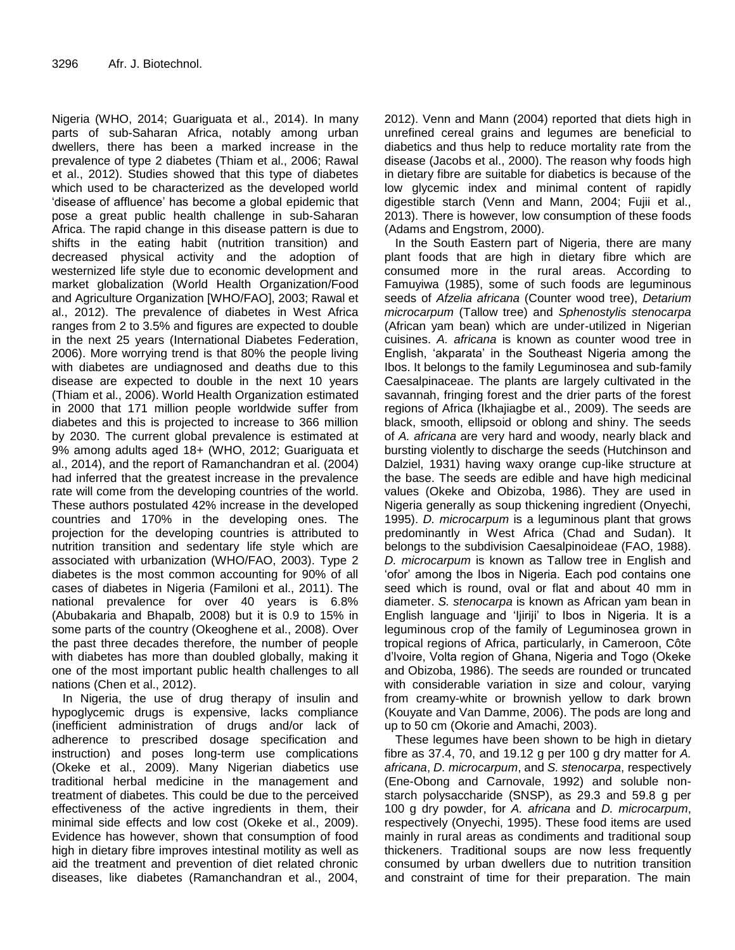Nigeria (WHO, 2014; Guariguata et al., 2014). In many parts of sub-Saharan Africa, notably among urban dwellers, there has been a marked increase in the prevalence of type 2 diabetes (Thiam et al., 2006; Rawal et al., 2012). Studies showed that this type of diabetes which used to be characterized as the developed world 'disease of affluence' has become a global epidemic that pose a great public health challenge in sub-Saharan Africa. The rapid change in this disease pattern is due to shifts in the eating habit (nutrition transition) and decreased physical activity and the adoption of westernized life style due to economic development and market globalization (World Health Organization/Food and Agriculture Organization [WHO/FAO], 2003; Rawal et al., 2012). The prevalence of diabetes in West Africa ranges from 2 to 3.5% and figures are expected to double in the next 25 years (International Diabetes Federation, 2006). More worrying trend is that 80% the people living with diabetes are undiagnosed and deaths due to this disease are expected to double in the next 10 years (Thiam et al., 2006). World Health Organization estimated in 2000 that 171 million people worldwide suffer from diabetes and this is projected to increase to 366 million by 2030. The current global prevalence is estimated at 9% among adults aged 18+ (WHO, 2012; Guariguata et al., 2014), and the report of Ramanchandran et al. (2004) had inferred that the greatest increase in the prevalence rate will come from the developing countries of the world. These authors postulated 42% increase in the developed countries and 170% in the developing ones. The projection for the developing countries is attributed to nutrition transition and sedentary life style which are associated with urbanization (WHO/FAO, 2003). Type 2 diabetes is the most common accounting for 90% of all cases of diabetes in Nigeria (Familoni et al., 2011). The national prevalence for over 40 years is 6.8% (Abubakaria and Bhapalb, 2008) but it is 0.9 to 15% in some parts of the country (Okeoghene et al., 2008). Over the past three decades therefore, the number of people with diabetes has more than doubled globally, making it one of the most important public health challenges to all nations (Chen et al., 2012).

In Nigeria, the use of drug therapy of insulin and hypoglycemic drugs is expensive, lacks compliance (inefficient administration of drugs and/or lack of adherence to prescribed dosage specification and instruction) and poses long-term use complications (Okeke et al., 2009). Many Nigerian diabetics use traditional herbal medicine in the management and treatment of diabetes. This could be due to the perceived effectiveness of the active ingredients in them, their minimal side effects and low cost (Okeke et al., 2009). Evidence has however, shown that consumption of food high in dietary fibre improves intestinal motility as well as aid the treatment and prevention of diet related chronic diseases, like diabetes (Ramanchandran et al., 2004, 2012). Venn and Mann (2004) reported that diets high in unrefined cereal grains and legumes are beneficial to diabetics and thus help to reduce mortality rate from the disease (Jacobs et al., 2000). The reason why foods high in dietary fibre are suitable for diabetics is because of the low glycemic index and minimal content of rapidly digestible starch (Venn and Mann, 2004; Fujii et al., 2013). There is however, low consumption of these foods (Adams and Engstrom, 2000).

In the South Eastern part of Nigeria, there are many plant foods that are high in dietary fibre which are consumed more in the rural areas. According to Famuyiwa (1985), some of such foods are leguminous seeds of *Afzelia africana* (Counter wood tree), *Detarium microcarpum* (Tallow tree) and *Sphenostylis stenocarpa* (African yam bean) which are under-utilized in Nigerian cuisines. *A. africana* is known as counter wood tree in English, 'akparata' in the Southeast Nigeria among the Ibos. It belongs to the family Leguminosea and sub-family Caesalpinaceae. The plants are largely cultivated in the savannah, fringing forest and the drier parts of the forest regions of Africa (Ikhajiagbe et al., 2009). The seeds are black, smooth, ellipsoid or oblong and shiny. The seeds of *A. africana* are very hard and woody, nearly black and bursting violently to discharge the seeds (Hutchinson and Dalziel, 1931) having waxy orange cup-like structure at the base. The seeds are edible and have high medicinal values (Okeke and Obizoba, 1986). They are used in Nigeria generally as soup thickening ingredient (Onyechi, 1995). *D. microcarpum* is a leguminous plant that grows predominantly in West Africa (Chad and Sudan). It belongs to the subdivision Caesalpinoideae (FAO, 1988). *D. microcarpum* is known as Tallow tree in English and 'ofor' among the Ibos in Nigeria. Each pod contains one seed which is round, oval or flat and about 40 mm in diameter. *S. stenocarpa* is known as African yam bean in English language and 'Ijiriji' to Ibos in Nigeria. It is a leguminous crop of the family of Leguminosea grown in tropical regions of Africa, particularly, in Cameroon, Côte d'lvoire, Volta region of Ghana, Nigeria and Togo (Okeke and Obizoba, 1986). The seeds are rounded or truncated with considerable variation in size and colour, varying from creamy-white or brownish yellow to dark brown (Kouyate and Van Damme, 2006). The pods are long and up to 50 cm (Okorie and Amachi, 2003).

These legumes have been shown to be high in dietary fibre as 37.4, 70, and 19.12 g per 100 g dry matter for *A. africana*, *D. microcarpum*, and *S. stenocarpa*, respectively (Ene-Obong and Carnovale, 1992) and soluble nonstarch polysaccharide (SNSP), as 29.3 and 59.8 g per 100 g dry powder, for *A. africana* and *D. microcarpum*, respectively (Onyechi, 1995). These food items are used mainly in rural areas as condiments and traditional soup thickeners. Traditional soups are now less frequently consumed by urban dwellers due to nutrition transition and constraint of time for their preparation. The main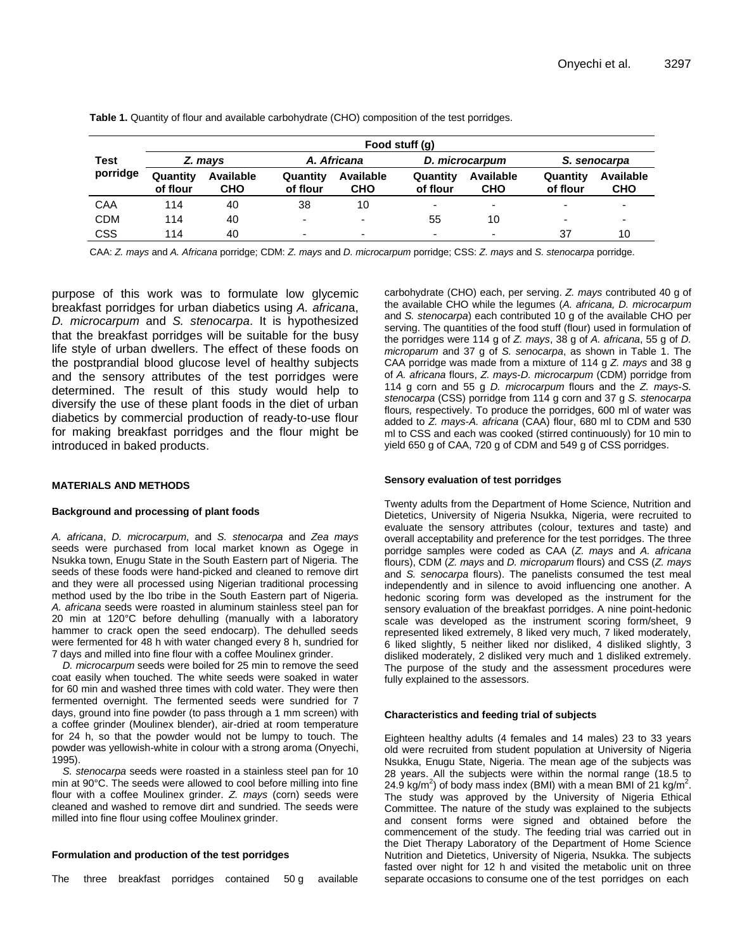|                  | Food stuff (g)       |                         |                          |                  |                          |                          |                          |                          |  |
|------------------|----------------------|-------------------------|--------------------------|------------------|--------------------------|--------------------------|--------------------------|--------------------------|--|
| Test<br>porridge | Z. mays              |                         | A. Africana              |                  | D. microcarpum           |                          | S. senocarpa             |                          |  |
|                  | Quantity<br>of flour | Available<br><b>CHO</b> | Quantity<br>of flour     | Available<br>сно | Quantity<br>of flour     | Available<br><b>CHO</b>  | Quantity<br>of flour     | Available<br><b>CHO</b>  |  |
| CAA              | 114                  | 40                      | 38                       | 10               | $\overline{\phantom{0}}$ | $\overline{\phantom{0}}$ | $\overline{\phantom{0}}$ | $\overline{\phantom{a}}$ |  |
| <b>CDM</b>       | 114                  | 40                      | $\overline{\phantom{a}}$ | ۰                | 55                       | 10                       | $\overline{\phantom{0}}$ | $\overline{\phantom{0}}$ |  |
| CSS              | 114                  | 40                      | $\overline{\phantom{0}}$ | -                | $\overline{\phantom{0}}$ | $\overline{\phantom{0}}$ | 37                       | 10                       |  |

**Table 1.** Quantity of flour and available carbohydrate (CHO) composition of the test porridges.

CAA: *Z. mays* and *A. Africana* porridge; CDM: *Z. mays* and *D. microcarpum* porridge; CSS: *Z. mays* and *S. stenocarpa* porridge.

purpose of this work was to formulate low glycemic breakfast porridges for urban diabetics using *A. african*a, *D. microcarpum* and *S. stenocarpa*. It is hypothesized that the breakfast porridges will be suitable for the busy life style of urban dwellers. The effect of these foods on the postprandial blood glucose level of healthy subjects and the sensory attributes of the test porridges were determined. The result of this study would help to diversify the use of these plant foods in the diet of urban diabetics by commercial production of ready-to-use flour for making breakfast porridges and the flour might be introduced in baked products.

#### **MATERIALS AND METHODS**

#### **Background and processing of plant foods**

*A. africana*, *D. microcarpum*, and *S. stenocarpa* and *Zea mays* seeds were purchased from local market known as Ogege in Nsukka town, Enugu State in the South Eastern part of Nigeria. The seeds of these foods were hand-picked and cleaned to remove dirt and they were all processed using Nigerian traditional processing method used by the Ibo tribe in the South Eastern part of Nigeria. *A. africana* seeds were roasted in aluminum stainless steel pan for 20 min at 120°C before dehulling (manually with a laboratory hammer to crack open the seed endocarp). The dehulled seeds were fermented for 48 h with water changed every 8 h, sundried for 7 days and milled into fine flour with a coffee Moulinex grinder.

*D. microcarpum* seeds were boiled for 25 min to remove the seed coat easily when touched. The white seeds were soaked in water for 60 min and washed three times with cold water. They were then fermented overnight. The fermented seeds were sundried for 7 days, ground into fine powder (to pass through a 1 mm screen) with a coffee grinder (Moulinex blender), air-dried at room temperature for 24 h, so that the powder would not be lumpy to touch. The powder was yellowish-white in colour with a strong aroma (Onyechi, 1995).

*S. stenocarpa* seeds were roasted in a stainless steel pan for 10 min at 90°C. The seeds were allowed to cool before milling into fine flour with a coffee Moulinex grinder. *Z. mays* (corn) seeds were cleaned and washed to remove dirt and sundried. The seeds were milled into fine flour using coffee Moulinex grinder.

#### **Formulation and production of the test porridges**

The three breakfast porridges contained 50 g available

carbohydrate (CHO) each, per serving. *Z. mays* contributed 40 g of the available CHO while the legumes (*A. africana, D. microcarpum* and *S. stenocarpa*) each contributed 10 g of the available CHO per serving. The quantities of the food stuff (flour) used in formulation of the porridges were 114 g of *Z. mays*, 38 g of *A. africana*, 55 g of *D. microparum* and 37 g of *S. senocarpa*, as shown in Table 1. The CAA porridge was made from a mixture of 114 g *Z. mays* and 38 g of *A. africana* flours, *Z. mays*-*D. microcarpum* (CDM) porridge from 114 g corn and 55 g *D. microcarpum* flours and the *Z. mays*-*S. stenocarpa* (CSS) porridge from 114 g corn and 37 g *S. stenocarpa* flours*,* respectively. To produce the porridges, 600 ml of water was added to *Z. mays*-*A. africana* (CAA) flour, 680 ml to CDM and 530 ml to CSS and each was cooked (stirred continuously) for 10 min to yield 650 g of CAA, 720 g of CDM and 549 g of CSS porridges.

#### **Sensory evaluation of test porridges**

Twenty adults from the Department of Home Science, Nutrition and Dietetics, University of Nigeria Nsukka, Nigeria, were recruited to evaluate the sensory attributes (colour, textures and taste) and overall acceptability and preference for the test porridges. The three porridge samples were coded as CAA (*Z. mays* and *A. africana* flours), CDM (*Z. mays* and *D. microparum* flours) and CSS (*Z. mays* and *S. senocarpa* flours). The panelists consumed the test meal independently and in silence to avoid influencing one another. A hedonic scoring form was developed as the instrument for the sensory evaluation of the breakfast porridges. A nine point-hedonic scale was developed as the instrument scoring form/sheet, 9 represented liked extremely, 8 liked very much, 7 liked moderately, 6 liked slightly, 5 neither liked nor disliked, 4 disliked slightly, 3 disliked moderately, 2 disliked very much and 1 disliked extremely. The purpose of the study and the assessment procedures were fully explained to the assessors.

#### **Characteristics and feeding trial of subjects**

Eighteen healthy adults (4 females and 14 males) 23 to 33 years old were recruited from student population at University of Nigeria Nsukka, Enugu State, Nigeria. The mean age of the subjects was 28 years. All the subjects were within the normal range (18.5 to 24.9 kg/m<sup>2</sup>) of body mass index (BMI) with a mean BMI of 21 kg/m<sup>2</sup>. The study was approved by the University of Nigeria Ethical Committee. The nature of the study was explained to the subjects and consent forms were signed and obtained before the commencement of the study. The feeding trial was carried out in the Diet Therapy Laboratory of the Department of Home Science Nutrition and Dietetics, University of Nigeria, Nsukka. The subjects fasted over night for 12 h and visited the metabolic unit on three separate occasions to consume one of the test porridges on each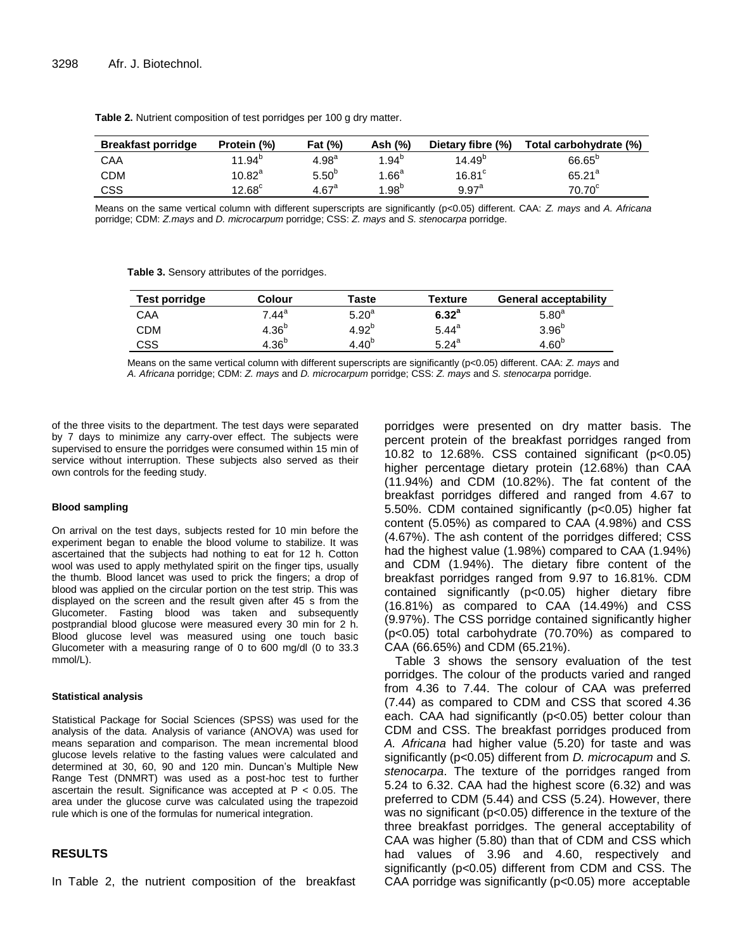| <b>Breakfast porridge</b> | Protein (%)      | <b>Fat (%)</b>      | Ash (%)           | Dietary fibre (%)    | Total carbohydrate (%) |
|---------------------------|------------------|---------------------|-------------------|----------------------|------------------------|
| CAA                       | $11.94^{b}$      | $4.98^{a}$          | $1.94^{b}$        | $14.49^{p}$          | $66.65^{\circ}$        |
| <b>CDM</b>                | 10.82 $^{\rm a}$ | 5.50 <sup>b</sup>   | 1.66 <sup>a</sup> | $16.81$ <sup>c</sup> | $65.21^{a}$            |
| CSS                       | 12.68 $^{\circ}$ | $4.67$ <sup>a</sup> | $1.98^{b}$        | 9.97 <sup>a</sup>    | 70.70 <sup>c</sup>     |

**Table 2.** Nutrient composition of test porridges per 100 g dry matter.

Means on the same vertical column with different superscripts are significantly (p<0.05) different. CAA: *Z. mays* and *A. Africana*  porridge; CDM: *Z.mays* and *D. microcarpum* porridge; CSS: *Z. mays* and *S. stenocarpa* porridge.

**Table 3.** Sensory attributes of the porridges.

| Test porridge | Colour            | Taste             | <b>Texture</b>    | <b>General acceptability</b> |
|---------------|-------------------|-------------------|-------------------|------------------------------|
| CAA           | 7.44ª             | 5.20 <sup>a</sup> | 6.32 <sup>a</sup> | 5.80 <sup>a</sup>            |
| <b>CDM</b>    | 4.36 <sup>b</sup> | $4.92^{b}$        | $5.44^a$          | 3.96 <sup>b</sup>            |
| CSS           | 4.36 <sup>b</sup> | $4.40^{b}$        | $5.24^{a}$        | 4.60 <sup>b</sup>            |

Means on the same vertical column with different superscripts are significantly (p<0.05) different. CAA: *Z. mays* and *A. Africana* porridge; CDM: *Z. mays* and *D. microcarpum* porridge; CSS: *Z. mays* and *S. stenocarpa* porridge.

of the three visits to the department. The test days were separated by 7 days to minimize any carry-over effect. The subjects were supervised to ensure the porridges were consumed within 15 min of service without interruption. These subjects also served as their own controls for the feeding study.

#### **Blood sampling**

On arrival on the test days, subjects rested for 10 min before the experiment began to enable the blood volume to stabilize. It was ascertained that the subjects had nothing to eat for 12 h. Cotton wool was used to apply methylated spirit on the finger tips, usually the thumb. Blood lancet was used to prick the fingers; a drop of blood was applied on the circular portion on the test strip. This was displayed on the screen and the result given after 45 s from the Glucometer. Fasting blood was taken and subsequently postprandial blood glucose were measured every 30 min for 2 h. Blood glucose level was measured using one touch basic Glucometer with a measuring range of 0 to 600 mg/dl (0 to 33.3 mmol/L).

#### **Statistical analysis**

Statistical Package for Social Sciences (SPSS) was used for the analysis of the data. Analysis of variance (ANOVA) was used for means separation and comparison. The mean incremental blood glucose levels relative to the fasting values were calculated and determined at 30, 60, 90 and 120 min. Duncan's Multiple New Range Test (DNMRT) was used as a post-hoc test to further ascertain the result. Significance was accepted at  $P < 0.05$ . The area under the glucose curve was calculated using the trapezoid rule which is one of the formulas for numerical integration.

## **RESULTS**

In Table 2, the nutrient composition of the breakfast

porridges were presented on dry matter basis. The percent protein of the breakfast porridges ranged from 10.82 to 12.68%. CSS contained significant (p<0.05) higher percentage dietary protein (12.68%) than CAA (11.94%) and CDM (10.82%). The fat content of the breakfast porridges differed and ranged from 4.67 to 5.50%. CDM contained significantly (p<0.05) higher fat content (5.05%) as compared to CAA (4.98%) and CSS (4.67%). The ash content of the porridges differed; CSS had the highest value (1.98%) compared to CAA (1.94%) and CDM (1.94%). The dietary fibre content of the breakfast porridges ranged from 9.97 to 16.81%. CDM contained significantly (p<0.05) higher dietary fibre (16.81%) as compared to CAA (14.49%) and CSS (9.97%). The CSS porridge contained significantly higher (p<0.05) total carbohydrate (70.70%) as compared to CAA (66.65%) and CDM (65.21%).

Table 3 shows the sensory evaluation of the test porridges. The colour of the products varied and ranged from 4.36 to 7.44. The colour of CAA was preferred (7.44) as compared to CDM and CSS that scored 4.36 each. CAA had significantly (p<0.05) better colour than CDM and CSS. The breakfast porridges produced from *A. Africana* had higher value (5.20) for taste and was significantly (p<0.05) different from *D. microcapum* and *S. stenocarpa*. The texture of the porridges ranged from 5.24 to 6.32. CAA had the highest score (6.32) and was preferred to CDM (5.44) and CSS (5.24). However, there was no significant (p<0.05) difference in the texture of the three breakfast porridges. The general acceptability of CAA was higher (5.80) than that of CDM and CSS which had values of 3.96 and 4.60, respectively and significantly (p<0.05) different from CDM and CSS. The CAA porridge was significantly (p<0.05) more acceptable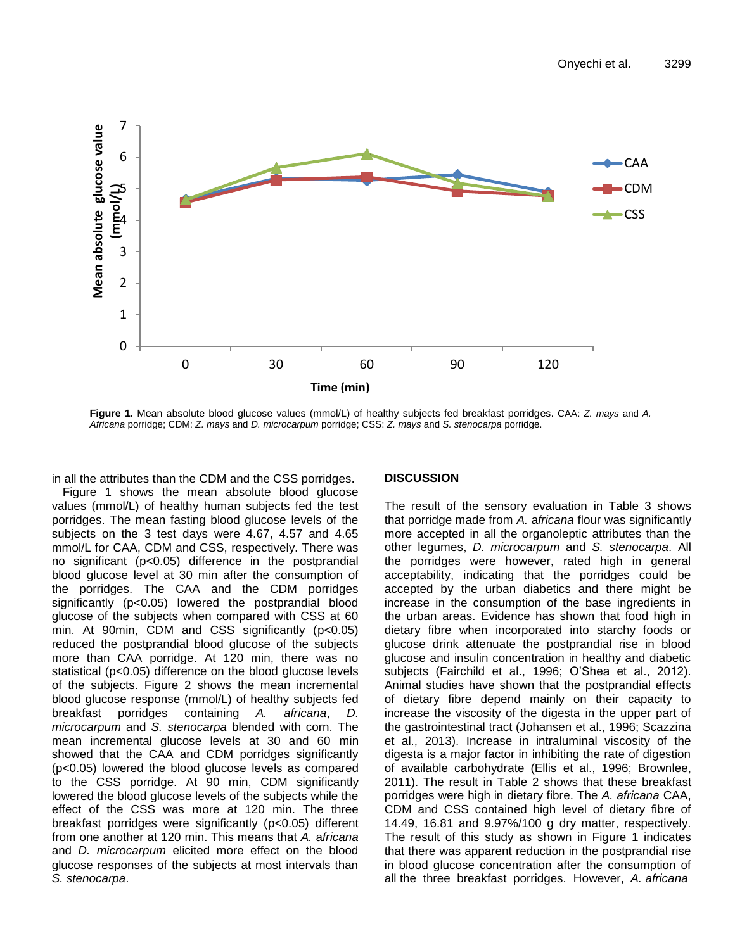

**Figure 1.** Mean absolute blood glucose values (mmol/L) of healthy subjects fed breakfast porridges. CAA: *Z. mays* and *A.* <br>Africana porridge: CDM: Z. mays and D. microcarpum porridge: CSS: Z. mays and S. stenocarpa porr *Africana* porridge; CDM: *Z. mays* and *D. microcarpum* porridge; CSS: *Z. mays* and *S. stenocarpa* porridge.

in all the attributes than the CDM and the CSS porridges.

Figure 1 shows the mean absolute blood glucose values (mmol/L) of healthy human subjects fed the test porridges. The mean fasting blood glucose levels of the subjects on the 3 test days were 4.67, 4.57 and 4.65 mmol/L for CAA, CDM and CSS, respectively. There was no significant (p<0.05) difference in the postprandial blood glucose level at 30 min after the consumption of the porridges. The CAA and the CDM porridges significantly (p<0.05) lowered the postprandial blood glucose of the subjects when compared with CSS at 60 min. At 90min, CDM and CSS significantly  $(p<0.05)$ reduced the postprandial blood glucose of the subjects more than CAA porridge. At 120 min, there was no statistical (p<0.05) difference on the blood glucose levels of the subjects. Figure 2 shows the mean incremental blood glucose response (mmol/L) of healthy subjects fed breakfast porridges containing *A. africana*, *D. microcarpum* and *S. stenocarpa* blended with corn. The mean incremental glucose levels at 30 and 60 min showed that the CAA and CDM porridges significantly (p<0.05) lowered the blood glucose levels as compared to the CSS porridge. At 90 min, CDM significantly lowered the blood glucose levels of the subjects while the effect of the CSS was more at 120 min. The three breakfast porridges were significantly (p<0.05) different from one another at 120 min. This means that *A.* a*fricana*  and *D. microcarpum* elicited more effect on the blood glucose responses of the subjects at most intervals than *S. stenocarpa*.

## **DISCUSSION**

ificantly (p<0.05) lowered the postprandial blood increase in the consumption of the base ingredients in The result of the sensory evaluation in Table 3 shows that porridge made from *A.* a*fricana* flour was significantly more accepted in all the organoleptic attributes than the other legumes, *D. microcarpum* and *S. stenocarpa*. All the porridges were however, rated high in general acceptability, indicating that the porridges could be accepted by the urban diabetics and there might be the urban areas. Evidence has shown that food high in dietary fibre when incorporated into starchy foods or glucose drink attenuate the postprandial rise in blood glucose and insulin concentration in healthy and diabetic subjects (Fairchild et al., 1996; O'Shea et al., 2012). Animal studies have shown that the postprandial effects of dietary fibre depend mainly on their capacity to increase the viscosity of the digesta in the upper part of the gastrointestinal tract (Johansen et al., 1996; Scazzina et al., 2013). Increase in intraluminal viscosity of the digesta is a major factor in inhibiting the rate of digestion of available carbohydrate (Ellis et al., 1996; Brownlee, 2011). The result in Table 2 shows that these breakfast porridges were high in dietary fibre. The *A. africana* CAA, CDM and CSS contained high level of dietary fibre of 14.49, 16.81 and 9.97%/100 g dry matter, respectively. The result of this study as shown in Figure 1 indicates that there was apparent reduction in the postprandial rise in blood glucose concentration after the consumption of all the three breakfast porridges. However, *A. africana*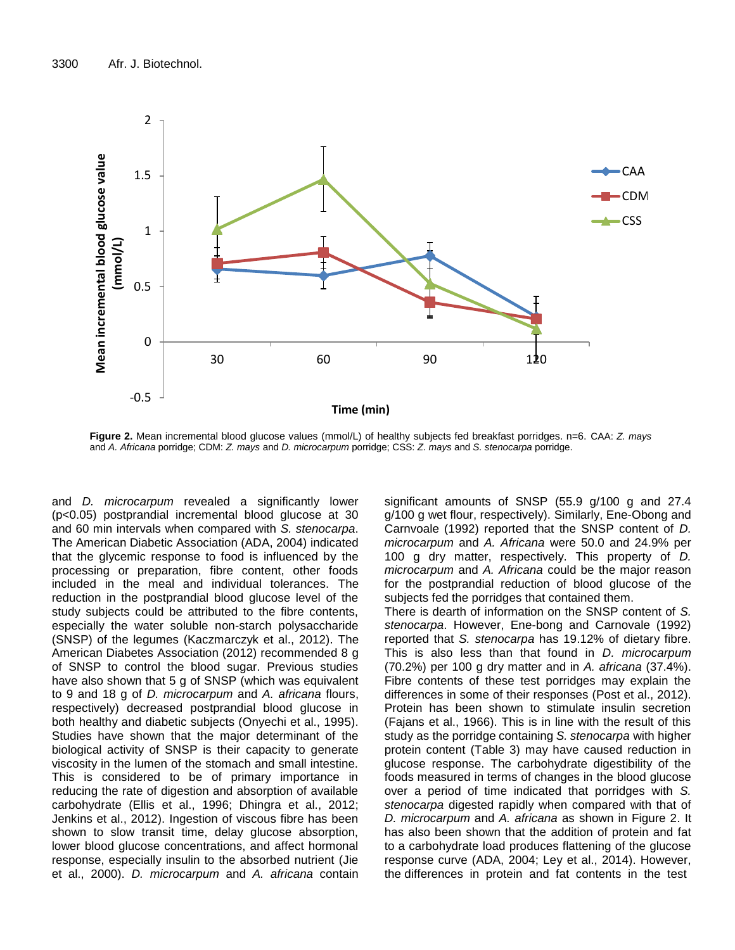

**Figure 2.** Mean incremental blood glucose values (mmol/L) of healthy subjects fed breakfast porridges. n=6. CAA: *Z. mays*  and *A. Africana* porridge; CDM: *Z. mays* and *D. microcarpum* porridge; CSS: *Z. mays* and *S. stenocarpa* porridge.

and *D. microcarpum* revealed a significantly lower (p<0.05) postprandial incremental blood glucose at 30 and 60 min intervals when compared with *S. stenocarpa*. The American Diabetic Association (ADA, 2004) indicated that the glycemic response to food is influenced by the processing or preparation, fibre content, other foods included in the meal and individual tolerances. The reduction in the postprandial blood glucose level of the study subjects could be attributed to the fibre contents, especially the water soluble non-starch polysaccharide (SNSP) of the legumes (Kaczmarczyk et al., 2012). The American Diabetes Association (2012) recommended 8 g of SNSP to control the blood sugar. Previous studies have also shown that 5 g of SNSP (which was equivalent to 9 and 18 g of *D. microcarpum* and *A. africana* flours, respectively) decreased postprandial blood glucose in both healthy and diabetic subjects (Onyechi et al., 1995). Studies have shown that the major determinant of the biological activity of SNSP is their capacity to generate viscosity in the lumen of the stomach and small intestine. This is considered to be of primary importance in reducing the rate of digestion and absorption of available carbohydrate (Ellis et al., 1996; Dhingra et al., 2012; Jenkins et al., 2012). Ingestion of viscous fibre has been shown to slow transit time, delay glucose absorption, lower blood glucose concentrations, and affect hormonal response, especially insulin to the absorbed nutrient (Jie et al., 2000). *D. microcarpum* and *A. africana* contain significant amounts of SNSP (55.9 g/100 g and 27.4 g/100 g wet flour, respectively). Similarly, Ene-Obong and Carnvoale (1992) reported that the SNSP content of *D. microcarpum* and *A. Africana* were 50.0 and 24.9% per 100 g dry matter, respectively. This property of *D. microcarpum* and *A. Africana* could be the major reason for the postprandial reduction of blood glucose of the subjects fed the porridges that contained them. There is dearth of information on the SNSP content of *S. stenocarpa*. However, Ene-bong and Carnovale (1992) reported that *S. stenocarpa* has 19.12% of dietary fibre. This is also less than that found in *D. microcarpum* (70.2%) per 100 g dry matter and in *A. africana* (37.4%). Fibre contents of these test porridges may explain the

differences in some of their responses (Post et al., 2012). Protein has been shown to stimulate insulin secretion (Fajans et al., 1966). This is in line with the result of this study as the porridge containing *S. stenocarpa* with higher protein content (Table 3) may have caused reduction in glucose response. The carbohydrate digestibility of the foods measured in terms of changes in the blood glucose over a period of time indicated that porridges with *S. stenocarpa* digested rapidly when compared with that of *D. microcarpum* and *A. africana* as shown in Figure 2. It has also been shown that the addition of protein and fat to a carbohydrate load produces flattening of the glucose response curve (ADA, 2004; Ley et al., 2014). However, the differences in protein and fat contents in the test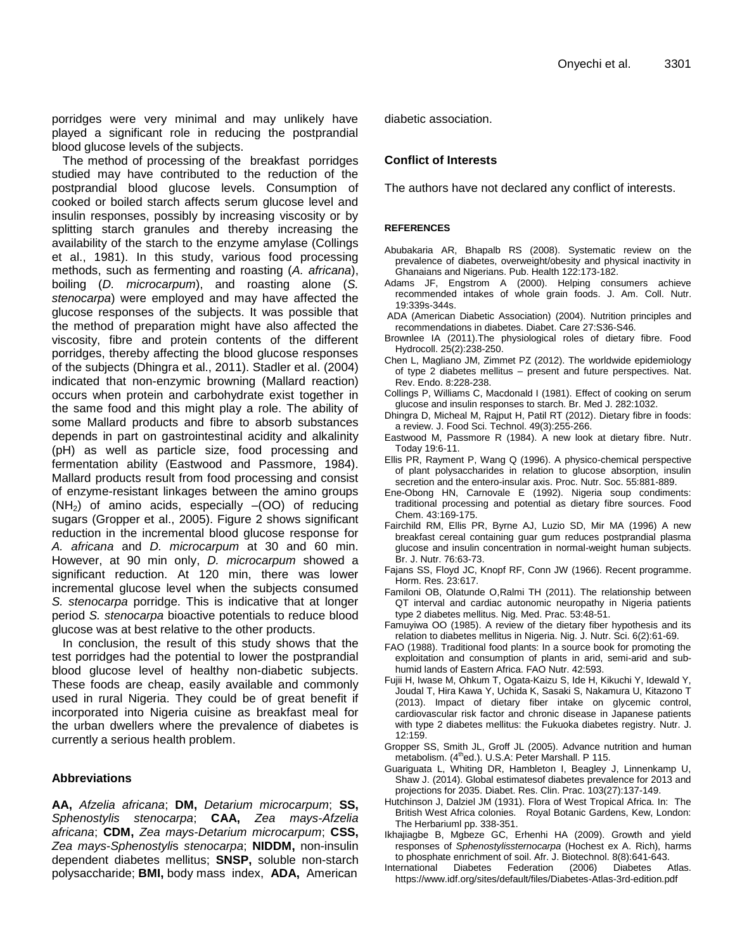porridges were very minimal and may unlikely have played a significant role in reducing the postprandial blood glucose levels of the subjects.

The method of processing of the breakfast porridges studied may have contributed to the reduction of the postprandial blood glucose levels. Consumption of cooked or boiled starch affects serum glucose level and insulin responses, possibly by increasing viscosity or by splitting starch granules and thereby increasing the availability of the starch to the enzyme amylase (Collings et al., 1981). In this study, various food processing methods, such as fermenting and roasting (*A. africana*), boiling (*D. microcarpum*), and roasting alone (*S. stenocarpa*) were employed and may have affected the glucose responses of the subjects. It was possible that the method of preparation might have also affected the viscosity, fibre and protein contents of the different porridges, thereby affecting the blood glucose responses of the subjects (Dhingra et al., 2011). Stadler et al. (2004) indicated that non-enzymic browning (Mallard reaction) occurs when protein and carbohydrate exist together in the same food and this might play a role. The ability of some Mallard products and fibre to absorb substances depends in part on gastrointestinal acidity and alkalinity (pH) as well as particle size, food processing and fermentation ability (Eastwood and Passmore, 1984). Mallard products result from food processing and consist of enzyme-resistant linkages between the amino groups  $(NH<sub>2</sub>)$  of amino acids, especially  $-(OO)$  of reducing sugars (Gropper et al., 2005). Figure 2 shows significant reduction in the incremental blood glucose response for *A. africana* and *D. microcarpum* at 30 and 60 min. However, at 90 min only, *D. microcarpum* showed a significant reduction. At 120 min, there was lower incremental glucose level when the subjects consumed *S. stenocarpa* porridge. This is indicative that at longer period *S. stenocarpa* bioactive potentials to reduce blood glucose was at best relative to the other products.

In conclusion, the result of this study shows that the test porridges had the potential to lower the postprandial blood glucose level of healthy non-diabetic subjects. These foods are cheap, easily available and commonly used in rural Nigeria. They could be of great benefit if incorporated into Nigeria cuisine as breakfast meal for the urban dwellers where the prevalence of diabetes is currently a serious health problem.

## **Abbreviations**

**AA,** *Afzelia africana*; **DM,** *Detarium microcarpum*; **SS,**  *Sphenostylis stenocarpa*; **CAA,** *Zea mays*-*Afzelia africana*; **CDM,** *Zea mays*-*Detarium microcarpum*; **CSS,**  *Zea mays*-*Sphenostyli*s *stenocarpa*; **NIDDM,** non-insulin dependent diabetes mellitus; **SNSP,** soluble non-starch polysaccharide; **BMI,** body mass index, **ADA,** American

diabetic association.

## **Conflict of Interests**

The authors have not declared any conflict of interests.

### **REFERENCES**

- Abubakaria AR, Bhapalb RS (2008). Systematic review on the prevalence of diabetes, overweight/obesity and physical inactivity in Ghanaians and Nigerians. Pub. Health 122:173-182.
- Adams JF, Engstrom A (2000). Helping consumers achieve recommended intakes of whole grain foods. J. Am. Coll. Nutr. 19:339s-344s.
- ADA (American Diabetic Association) (2004). Nutrition principles and recommendations in diabetes. Diabet. Care 27:S36-S46.
- Brownlee IA (2011).The physiological roles of dietary fibre. Food Hydrocoll. 25(2):238-250.
- Chen L, Magliano JM, Zimmet PZ (2012). The worldwide epidemiology of type 2 diabetes mellitus – present and future perspectives. Nat. Rev. Endo. 8:228-238.
- Collings P, Williams C, Macdonald I (1981). Effect of cooking on serum glucose and insulin responses to starch. Br. Med J. 282:1032.
- Dhingra D, Micheal M, Rajput H, Patil RT (2012). Dietary fibre in foods: a review. J. Food Sci. Technol. 49(3):255-266.
- Eastwood M, Passmore R (1984). A new look at dietary fibre. Nutr. Today 19:6-11.
- Ellis PR, Rayment P, Wang Q (1996). A physico-chemical perspective of plant polysaccharides in relation to glucose absorption, insulin secretion and the entero-insular axis. Proc. Nutr. Soc. 55:881-889.
- Ene-Obong HN, Carnovale E (1992). Nigeria soup condiments: traditional processing and potential as dietary fibre sources. Food Chem. 43:169-175.
- Fairchild RM, Ellis PR, Byrne AJ, Luzio SD, Mir MA (1996) A new breakfast cereal containing guar gum reduces postprandial plasma glucose and insulin concentration in normal-weight human subjects. Br. J. Nutr. 76:63-73.
- Fajans SS, Floyd JC, Knopf RF, Conn JW (1966). Recent programme. Horm. Res. 23:617.
- Familoni OB, Olatunde O,Ralmi TH (2011). The relationship between QT interval and cardiac autonomic neuropathy in Nigeria patients type 2 diabetes mellitus. Nig. Med. Prac. 53:48-51.
- Famuyiwa OO (1985). A review of the dietary fiber hypothesis and its relation to diabetes mellitus in Nigeria. Nig. J. Nutr. Sci. 6(2):61-69.
- FAO (1988). Traditional food plants: In a source book for promoting the exploitation and consumption of plants in arid, semi-arid and subhumid lands of Eastern Africa. FAO Nutr. 42:593.
- Fujii H, Iwase M, Ohkum T, Ogata-Kaizu S, Ide H, Kikuchi Y, Idewald Y, Joudal T, Hira Kawa Y, Uchida K, Sasaki S, Nakamura U, Kitazono T (2013). Impact of dietary fiber intake on glycemic control, cardiovascular risk factor and chronic disease in Japanese patients with type 2 diabetes mellitus: the Fukuoka diabetes registry. Nutr. J. 12:159.
- Gropper SS, Smith JL, Groff JL (2005). Advance nutrition and human metabolism. (4<sup>th</sup>ed.). U.S.A: Peter Marshall. P 115.
- Guariguata L, Whiting DR, Hambleton I, Beagley J, Linnenkamp U, Shaw J. (2014). Global estimatesof diabetes prevalence for 2013 and projections for 2035. Diabet. Res. Clin. Prac. 103(27):137-149.
- Hutchinson J, Dalziel JM (1931). Flora of West Tropical Africa. In: The British West Africa colonies. Royal Botanic Gardens, Kew, London: The Herbariuml pp. 338-351.
- Ikhajiagbe B, Mgbeze GC, Erhenhi HA (2009). Growth and yield responses of *Sphenostylissternocarpa* (Hochest ex A. Rich), harms to phosphate enrichment of soil. Afr. J. Biotechnol. 8(8):641-643.
- International Diabetes Federation (2006) Diabetes Atlas. https://www.idf.org/sites/default/files/Diabetes-Atlas-3rd-edition.pdf